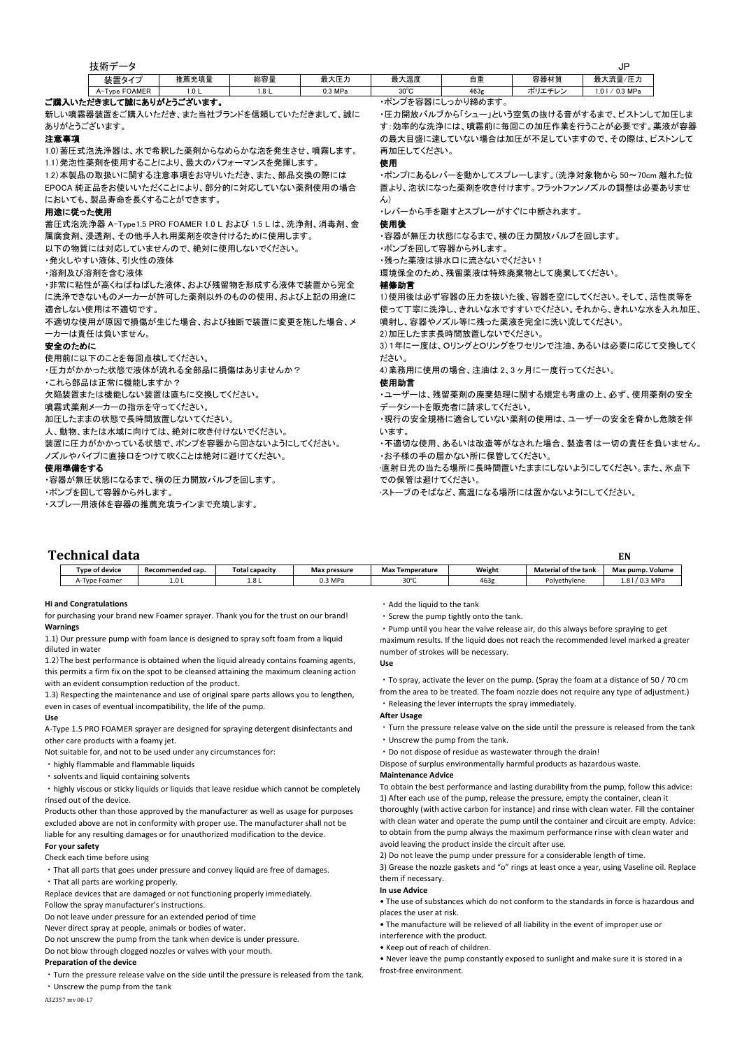|                                        | 技術データ                                                    |                  |                  |                                          |                                            |                                              |                                | JP                                        |  |  |
|----------------------------------------|----------------------------------------------------------|------------------|------------------|------------------------------------------|--------------------------------------------|----------------------------------------------|--------------------------------|-------------------------------------------|--|--|
|                                        | 装置タイプ                                                    | 推薦充填量            | 総容量              | 最大圧力                                     | 最大温度                                       | 自重                                           | 容器材質                           | 最大流量/圧力                                   |  |  |
|                                        | A-Type FOAMER                                            | 1.0 <sub>L</sub> | 1.8 <sub>L</sub> | 0.3 MPa                                  | $30^{\circ}$ C                             | 463g                                         | ポリエチレン                         | $1.01 / 0.3$ MPa                          |  |  |
| ご購入いただきまして誠にありがとうございます。                |                                                          |                  |                  |                                          |                                            | ・ポンプを容器にしっかり締めます。                            |                                |                                           |  |  |
|                                        | 新しい噴霧器装置をご購入いただき、また当社ブランドを信頼していただきまして、誠に                 |                  |                  |                                          |                                            |                                              |                                | ・圧力開放バルブから「シュー」という空気の抜ける音がするまで、ピストンして加圧しま |  |  |
| ありがとうございます。                            |                                                          |                  |                  |                                          |                                            |                                              |                                | す:効率的な洗浄には、噴霧前に毎回この加圧作業を行うことが必要です。薬液が容器   |  |  |
| 注意事項                                   |                                                          |                  |                  |                                          |                                            |                                              |                                | の最大目盛に達していない場合は加圧が不足していますので、その際は、ピストンして   |  |  |
|                                        | 1.0)蓄圧式泡洗浄器は、水で希釈した薬剤からなめらかな泡を発生させ、噴霧します。                |                  |                  |                                          |                                            | 再加圧してください。                                   |                                |                                           |  |  |
|                                        | 1.1)発泡性薬剤を使用することにより、最大のパフォーマンスを発揮します。                    |                  |                  |                                          |                                            |                                              |                                |                                           |  |  |
|                                        | 1.2)本製品の取扱いに関する注意事項をお守りいただき、また、部品交換の際には                  |                  |                  |                                          |                                            | ・ポンプにあるレバーを動かしてスプレーします。(洗浄対象物から 50~70cm 離れた位 |                                |                                           |  |  |
|                                        | EPOCA 純正品をお使いいただくことにより、部分的に対応していない薬剤使用の場合                |                  |                  |                                          | 置より、泡状になった薬剤を吹き付けます。フラットファンノズルの調整は必要ありませ   |                                              |                                |                                           |  |  |
|                                        | においても、製品寿命を長くすることができます。                                  |                  |                  |                                          | $\mathcal{L}$                              |                                              |                                |                                           |  |  |
| 用途に従った使用                               |                                                          |                  |                  |                                          |                                            |                                              | ・レバーから手を離すとスプレーがすぐに中断されます。     |                                           |  |  |
|                                        | 蓄圧式泡洗浄器 A-Type1.5 PRO FOAMER 1.0 L および 1.5 L は、洗浄剤、消毒剤、金 |                  |                  |                                          | 使用後                                        |                                              |                                |                                           |  |  |
|                                        | 属腐食剤、浸透剤、その他手入れ用薬剤を吹き付けるために使用します。                        |                  |                  |                                          |                                            |                                              | ・容器が無圧力状態になるまで、横の圧力開放バルブを回します。 |                                           |  |  |
|                                        | 以下の物質には対応していませんので、絶対に使用しないでください。                         |                  |                  |                                          | ・ポンプを回して容器から外します。                          |                                              |                                |                                           |  |  |
|                                        | ・発火しやすい液体、引火性の液体                                         |                  |                  |                                          | ・残った薬液は排水口に流さないでください!                      |                                              |                                |                                           |  |  |
|                                        | ・溶剤及び溶剤を含む液体                                             |                  |                  |                                          | 環境保全のため、残留薬液は特殊廃棄物として廃棄してください。             |                                              |                                |                                           |  |  |
|                                        | ・非常に粘性が高くねばねばした液体、および残留物を形成する液体で装置から完全                   |                  |                  |                                          | 補條助言                                       |                                              |                                |                                           |  |  |
|                                        | に洗浄できないものメーカーが許可した薬剤以外のものの使用、および上記の用途に                   |                  |                  |                                          | 1)使用後は必ず容器の圧力を抜いた後、容器を空にしてください。そして、活性炭等を   |                                              |                                |                                           |  |  |
|                                        | 適合しない使用は不適切です。                                           |                  |                  |                                          | 使って丁寧に洗浄し、きれいな水ですすいでください。それから、きれいな水を入れ加圧、  |                                              |                                |                                           |  |  |
| 不適切な使用が原因で損傷が生じた場合、および独断で装置に変更を施した場合、メ |                                                          |                  |                  | 噴射し、容器やノズル等に残った薬液を完全に洗い流してください。          |                                            |                                              |                                |                                           |  |  |
|                                        | 一カーは青任は負いません。                                            |                  |                  |                                          | 2)加圧したまま長時間放置しないでください。                     |                                              |                                |                                           |  |  |
| 安全のために                                 |                                                          |                  |                  |                                          | 3)1年に一度は、OリングとOリングをワセリンで注油、あるいは必要に応じて交換してく |                                              |                                |                                           |  |  |
|                                        | 使用前に以下のことを毎回点検してください。                                    |                  |                  |                                          | ださい。                                       |                                              |                                |                                           |  |  |
|                                        | ・圧力がかかった状態で液体が流れる全部品に損傷はありませんか?                          |                  |                  |                                          | 4)業務用に使用の場合、注油は2、3ヶ月に一度行ってください。            |                                              |                                |                                           |  |  |
| ・これら部品は正常に機能しますか?                      |                                                          |                  |                  | 使用助言                                     |                                            |                                              |                                |                                           |  |  |
|                                        | 欠陥装置または機能しない装置は直ちに交換してください。                              |                  |                  |                                          | ・ユーザーは、残留薬剤の廃棄処理に関する規定も考慮の上、必ず、使用薬剤の安全     |                                              |                                |                                           |  |  |
|                                        | 噴霧式薬剤メーカーの指示を守ってください。                                    |                  |                  |                                          | データシートを販売者に請求してください。                       |                                              |                                |                                           |  |  |
|                                        | 加圧したままの状態で長時間放置しないてください。                                 |                  |                  |                                          | ・現行の安全規格に適合していない薬剤の使用は、ユーザーの安全を脅かし危険を伴     |                                              |                                |                                           |  |  |
| 人、動物、または水域に向けては、絶対に吹き付けないでください。        |                                                          |                  |                  | います。                                     |                                            |                                              |                                |                                           |  |  |
|                                        | 装置に圧力がかかっている状態で、ポンプを容器から回さないようにしてください。                   |                  |                  |                                          | ・不適切な使用、あるいは改造等がなされた場合、製造者は一切の責任を負いません。    |                                              |                                |                                           |  |  |
| ノズルやパイプに直接口をつけて吹くことは絶対に避けてください。        |                                                          |                  |                  | ・お子様の手の届かない所に保管してください。                   |                                            |                                              |                                |                                           |  |  |
| 使用準備をする                                |                                                          |                  |                  | ・直射日光の当たる場所に長時間置いたままにしないようにしてください。また、氷点下 |                                            |                                              |                                |                                           |  |  |
| ・容器が無圧状態になるまで、横の圧力開放バルブを回します。          |                                                          |                  |                  | での保管は避けてください。                            |                                            |                                              |                                |                                           |  |  |
|                                        | ・ポンプを回して容器から外します。                                        |                  |                  |                                          | ・ストーブのそばなど、高温になる場所には置かないようにしてください。         |                                              |                                |                                           |  |  |
|                                        | ・スプレー用液体を容器の推薦充填ラインまで充填します。                              |                  |                  |                                          |                                            |                                              |                                |                                           |  |  |
|                                        |                                                          |                  |                  |                                          |                                            |                                              |                                |                                           |  |  |

| <b>Technical data</b> |                       |                  |                |              |                        |        |                             | EN               |
|-----------------------|-----------------------|------------------|----------------|--------------|------------------------|--------|-----------------------------|------------------|
|                       | <b>Type of device</b> | Recommended cap. | Total capacitv | Max pressure | <b>Max Temperature</b> | Weight | <b>Material of the tank</b> | Max pump. Volume |
|                       | A-Type Foamer         | 1.0L             | 1.8 L          | 0.3 MPa      | 30°<br>JU L            | 463g   | Polvethylene                | 1.8   / 0.3 MPa  |

# **Hi and Congratulations**

for purchasing your brand new Foamer sprayer. Thank you for the trust on our brand! **Warnings**

1.1) Our pressure pump with foam lance is designed to spray soft foam from a liquid diluted in water

1.2)The best performance is obtained when the liquid already contains foaming agents, this permits a firm fix on the spot to be cleansed attaining the maximum cleaning action with an evident consumption reduction of the product.

1.3) Respecting the maintenance and use of original spare parts allows you to lengthen, even in cases of eventual incompatibility, the life of the pump.

#### **Use**

A-Type 1.5 PRO FOAMER sprayer are designed for spraying detergent disinfectants and other care products with a foamy jet.

Not suitable for, and not to be used under any circumstances for:

- ・highly flammable and flammable liquids
- ・solvents and liquid containing solvents

・highly viscous or sticky liquids or liquids that leave residue which cannot be completely rinsed out of the device.

Products other than those approved by the manufacturer as well as usage for purposes excluded above are not in conformity with proper use. The manufacturer shall not be liable for any resulting damages or for unauthorized modification to the device.

## **For your safety**

Check each time before using

・That all parts that goes under pressure and convey liquid are free of damages.

・That all parts are working properly.

Replace devices that are damaged or not functioning properly immediately. Follow the spray manufacturer's instructions.

Do not leave under pressure for an extended period of time

Never direct spray at people, animals or bodies of water.

Do not unscrew the pump from the tank when device is under pressure.

Do not blow through clogged nozzles or valves with your mouth.

#### **Preparation of the device**

・Turn the pressure release valve on the side until the pressure is released from the tank. ・Unscrew the pump from the tank

・Add the liquid to the tank

・Screw the pump tightly onto the tank.

・Pump until you hear the valve release air, do this always before spraying to get maximum results. If the liquid does not reach the recommended level marked a greater number of strokes will be necessary.

### **Use**

・To spray, activate the lever on the pump. (Spray the foam at a distance of 50 / 70 cm from the area to be treated. The foam nozzle does not require any type of adjustment.) ・Releasing the lever interrupts the spray immediately.

#### **After Usage**

・Turn the pressure release valve on the side until the pressure is released from the tank ・Unscrew the pump from the tank.

- ・Do not dispose of residue as wastewater through the drain!
- Dispose of surplus environmentally harmful products as hazardous waste.

#### **Maintenance Advice**

To obtain the best performance and lasting durability from the pump, follow this advice: 1) After each use of the pump, release the pressure, empty the container, clean it thoroughly (with active carbon for instance) and rinse with clean water. Fill the container

with clean water and operate the pump until the container and circuit are empty. Advice: to obtain from the pump always the maximum performance rinse with clean water and avoid leaving the product inside the circuit after use.

2) Do not leave the pump under pressure for a considerable length of time.

3) Grease the nozzle gaskets and "o" rings at least once a year, using Vaseline oil. Replace them if necessary.

#### **In use Advice**

• The use of substances which do not conform to the standards in force is hazardous and places the user at risk.

• The manufacture will be relieved of all liability in the event of improper use or

- interference with the product.
- Keep out of reach of children.

• Never leave the pump constantly exposed to sunlight and make sure it is stored in a frost-free environment.

A32357 rev 00-17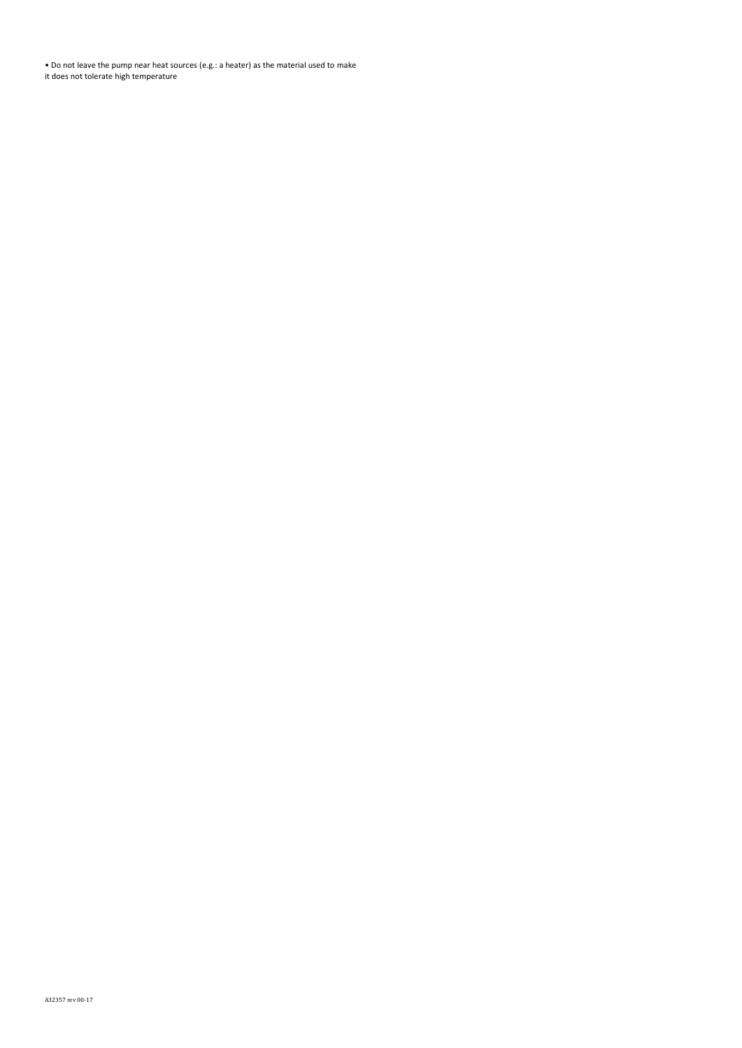• Do not leave the pump near heat sources (e.g.: a heater) as the material used to make it does not tolerate high temperature